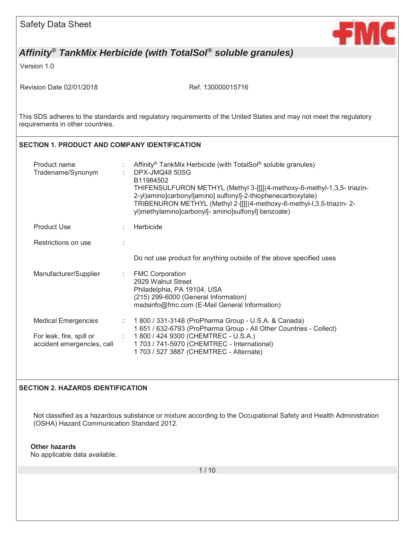| <b>Safety Data Sheet</b> |  |  |
|--------------------------|--|--|
|--------------------------|--|--|



Version 1.0

Revision Date 02/01/2018 Ref. 130000015716

This SDS adheres to the standards and regulatory requirements of the United States and may not meet the regulatory requirements in other countries.

#### **SECTION 1. PRODUCT AND COMPANY IDENTIFICATION**

| Product name<br>Tradename/Synonym                      |   | Affinity <sup>®</sup> TankMix Herbicide (with TotalSol <sup>®</sup> soluble granules)<br>DPX-JMQ48 50SG<br>B11984502<br>THIFENSULFURON METHYL (Methyl 3-[[[[(4-methoxy-6-methyl-1,3,5- triazin-<br>2-yl)amino]carbonyl]amino] sulfonyl]-2-thiophenecarboxylate)<br>TRIBENURON METHYL (Methyl 2-[[[[(4-methoxy-6-methyl-l,3,5-triazin-2-<br>yl)methylamino]carbonyl]- amino]sulfonyl] benzoate) |
|--------------------------------------------------------|---|------------------------------------------------------------------------------------------------------------------------------------------------------------------------------------------------------------------------------------------------------------------------------------------------------------------------------------------------------------------------------------------------|
| <b>Product Use</b>                                     |   | Herbicide                                                                                                                                                                                                                                                                                                                                                                                      |
| Restrictions on use                                    |   |                                                                                                                                                                                                                                                                                                                                                                                                |
|                                                        |   | Do not use product for anything outside of the above specified uses                                                                                                                                                                                                                                                                                                                            |
| Manufacturer/Supplier                                  | ÷ | <b>FMC Corporation</b><br>2929 Walnut Street<br>Philadelphia, PA 19104, USA<br>(215) 299-6000 (General Information)<br>msdsinfo@fmc.com (E-Mail General Information)                                                                                                                                                                                                                           |
| <b>Medical Emergencies</b>                             | ÷ | 1 800 / 331-3148 (ProPharma Group - U.S.A. & Canada)<br>1 651 / 632-6793 (ProPharma Group - All Other Countries - Collect)                                                                                                                                                                                                                                                                     |
| For leak, fire, spill or<br>accident emergencies, call |   | 1 800 / 424 9300 (CHEMTREC - U.S.A.)<br>1 703 / 741-5970 (CHEMTREC - International)<br>1703 / 527 3887 (CHEMTREC - Alternate)                                                                                                                                                                                                                                                                  |

#### **SECTION 2. HAZARDS IDENTIFICATION**

Not classified as a hazardous substance or mixture according to the Occupational Safety and Health Administration (OSHA) Hazard Communication Standard 2012.

#### **Other hazards**

No applicable data available.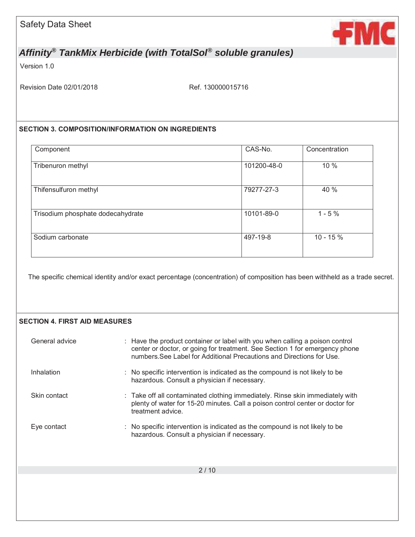

Version 1.0

Revision Date 02/01/2018 Ref. 130000015716

#### **SECTION 3. COMPOSITION/INFORMATION ON INGREDIENTS**

| Component                         | CAS-No.     | Concentration |
|-----------------------------------|-------------|---------------|
| Tribenuron methyl                 | 101200-48-0 | 10 %          |
| Thifensulfuron methyl             | 79277-27-3  | 40 %          |
| Trisodium phosphate dodecahydrate | 10101-89-0  | $1 - 5%$      |
| Sodium carbonate                  | 497-19-8    | $10 - 15%$    |

The specific chemical identity and/or exact percentage (concentration) of composition has been withheld as a trade secret.

#### **SECTION 4. FIRST AID MEASURES**

| General advice | : Have the product container or label with you when calling a poison control<br>center or doctor, or going for treatment. See Section 1 for emergency phone<br>numbers See Label for Additional Precautions and Directions for Use |
|----------------|------------------------------------------------------------------------------------------------------------------------------------------------------------------------------------------------------------------------------------|
| Inhalation     | : No specific intervention is indicated as the compound is not likely to be<br>hazardous. Consult a physician if necessary.                                                                                                        |
| Skin contact   | : Take off all contaminated clothing immediately. Rinse skin immediately with<br>plenty of water for 15-20 minutes. Call a poison control center or doctor for<br>treatment advice.                                                |
| Eye contact    | : No specific intervention is indicated as the compound is not likely to be<br>hazardous. Consult a physician if necessary.                                                                                                        |
|                |                                                                                                                                                                                                                                    |
|                | 2/10                                                                                                                                                                                                                               |
|                |                                                                                                                                                                                                                                    |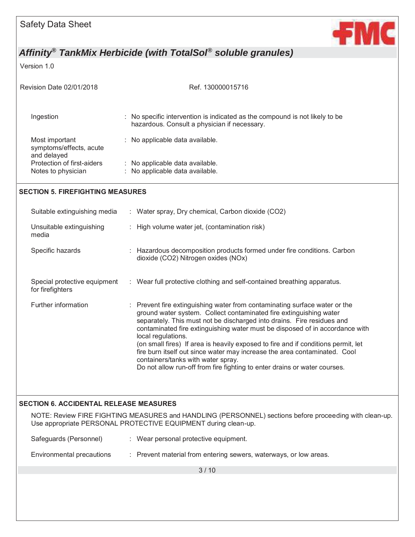

Version 1.0

| Revision Date 02/01/2018                                 | Ref. 130000015716                                                                                                                                                                                                                                                                                                                                                                                                                                                                                                                                                                                                     |
|----------------------------------------------------------|-----------------------------------------------------------------------------------------------------------------------------------------------------------------------------------------------------------------------------------------------------------------------------------------------------------------------------------------------------------------------------------------------------------------------------------------------------------------------------------------------------------------------------------------------------------------------------------------------------------------------|
| Ingestion                                                | : No specific intervention is indicated as the compound is not likely to be<br>hazardous. Consult a physician if necessary.                                                                                                                                                                                                                                                                                                                                                                                                                                                                                           |
| Most important<br>symptoms/effects, acute<br>and delayed | : No applicable data available.                                                                                                                                                                                                                                                                                                                                                                                                                                                                                                                                                                                       |
| Protection of first-aiders<br>Notes to physician         | : No applicable data available.<br>: No applicable data available.                                                                                                                                                                                                                                                                                                                                                                                                                                                                                                                                                    |
| <b>SECTION 5. FIREFIGHTING MEASURES</b>                  |                                                                                                                                                                                                                                                                                                                                                                                                                                                                                                                                                                                                                       |
| Suitable extinguishing media                             | : Water spray, Dry chemical, Carbon dioxide (CO2)                                                                                                                                                                                                                                                                                                                                                                                                                                                                                                                                                                     |
| Unsuitable extinguishing<br>media                        | : High volume water jet, (contamination risk)                                                                                                                                                                                                                                                                                                                                                                                                                                                                                                                                                                         |
| Specific hazards                                         | : Hazardous decomposition products formed under fire conditions. Carbon<br>dioxide (CO2) Nitrogen oxides (NOx)                                                                                                                                                                                                                                                                                                                                                                                                                                                                                                        |
| Special protective equipment<br>for firefighters         | : Wear full protective clothing and self-contained breathing apparatus.                                                                                                                                                                                                                                                                                                                                                                                                                                                                                                                                               |
| Further information                                      | : Prevent fire extinguishing water from contaminating surface water or the<br>ground water system. Collect contaminated fire extinguishing water<br>separately. This must not be discharged into drains. Fire residues and<br>contaminated fire extinguishing water must be disposed of in accordance with<br>local regulations.<br>(on small fires) If area is heavily exposed to fire and if conditions permit, let<br>fire burn itself out since water may increase the area contaminated. Cool<br>containers/tanks with water spray.<br>Do not allow run-off from fire fighting to enter drains or water courses. |
| <b>SECTION 6. ACCIDENTAL RELEASE MEASURES</b>            |                                                                                                                                                                                                                                                                                                                                                                                                                                                                                                                                                                                                                       |
|                                                          | NOTE: Review FIRE FIGHTING MEASURES and HANDLING (PERSONNEL) sections before proceeding with clean-up.<br>Use appropriate PERSONAL PROTECTIVE EQUIPMENT during clean-up.                                                                                                                                                                                                                                                                                                                                                                                                                                              |
| Safeguards (Personnel)                                   | : Wear personal protective equipment.                                                                                                                                                                                                                                                                                                                                                                                                                                                                                                                                                                                 |
| Environmental precautions                                | : Prevent material from entering sewers, waterways, or low areas.                                                                                                                                                                                                                                                                                                                                                                                                                                                                                                                                                     |
|                                                          | 3/10                                                                                                                                                                                                                                                                                                                                                                                                                                                                                                                                                                                                                  |
|                                                          |                                                                                                                                                                                                                                                                                                                                                                                                                                                                                                                                                                                                                       |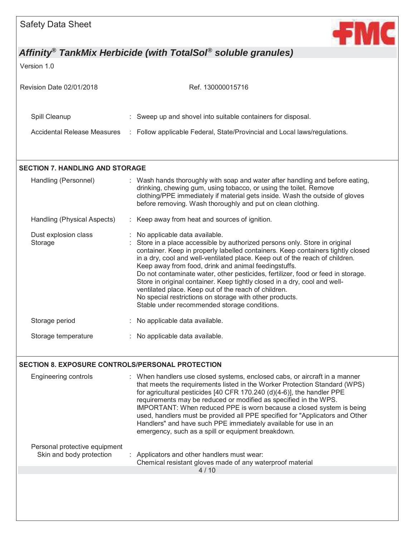

Version 1.0

| Revision Date 02/01/2018    | Ref. 130000015716                                                         |
|-----------------------------|---------------------------------------------------------------------------|
| Spill Cleanup               | : Sweep up and shovel into suitable containers for disposal.              |
| Accidental Release Measures | : Follow applicable Federal, State/Provincial and Local laws/regulations. |

#### **SECTION 7. HANDLING AND STORAGE**

| Handling (Personnel)            | : Wash hands thoroughly with soap and water after handling and before eating,<br>drinking, chewing gum, using tobacco, or using the toilet. Remove<br>clothing/PPE immediately if material gets inside. Wash the outside of gloves<br>before removing. Wash thoroughly and put on clean clothing.                                                                                                                                                                                                                                                                                                                                                                             |
|---------------------------------|-------------------------------------------------------------------------------------------------------------------------------------------------------------------------------------------------------------------------------------------------------------------------------------------------------------------------------------------------------------------------------------------------------------------------------------------------------------------------------------------------------------------------------------------------------------------------------------------------------------------------------------------------------------------------------|
| Handling (Physical Aspects)     | : Keep away from heat and sources of ignition.                                                                                                                                                                                                                                                                                                                                                                                                                                                                                                                                                                                                                                |
| Dust explosion class<br>Storage | : No applicable data available.<br>: Store in a place accessible by authorized persons only. Store in original<br>container. Keep in properly labelled containers. Keep containers tightly closed<br>in a dry, cool and well-ventilated place. Keep out of the reach of children.<br>Keep away from food, drink and animal feedingstuffs.<br>Do not contaminate water, other pesticides, fertilizer, food or feed in storage.<br>Store in original container. Keep tightly closed in a dry, cool and well-<br>ventilated place. Keep out of the reach of children.<br>No special restrictions on storage with other products.<br>Stable under recommended storage conditions. |
| Storage period                  | : No applicable data available.                                                                                                                                                                                                                                                                                                                                                                                                                                                                                                                                                                                                                                               |
| Storage temperature             | : No applicable data available.                                                                                                                                                                                                                                                                                                                                                                                                                                                                                                                                                                                                                                               |

#### **SECTION 8. EXPOSURE CONTROLS/PERSONAL PROTECTION**

| <b>Engineering controls</b>                               | : When handlers use closed systems, enclosed cabs, or aircraft in a manner<br>that meets the requirements listed in the Worker Protection Standard (WPS)<br>for agricultural pesticides [40 CFR 170.240 (d)(4-6)], the handler PPE<br>requirements may be reduced or modified as specified in the WPS.<br>IMPORTANT: When reduced PPE is worn because a closed system is being<br>used, handlers must be provided all PPE specified for "Applicators and Other<br>Handlers" and have such PPE immediately available for use in an<br>emergency, such as a spill or equipment breakdown. |
|-----------------------------------------------------------|-----------------------------------------------------------------------------------------------------------------------------------------------------------------------------------------------------------------------------------------------------------------------------------------------------------------------------------------------------------------------------------------------------------------------------------------------------------------------------------------------------------------------------------------------------------------------------------------|
| Personal protective equipment<br>Skin and body protection | : Applicators and other handlers must wear:                                                                                                                                                                                                                                                                                                                                                                                                                                                                                                                                             |
|                                                           | Chemical resistant gloves made of any waterproof material                                                                                                                                                                                                                                                                                                                                                                                                                                                                                                                               |
|                                                           | 4/10                                                                                                                                                                                                                                                                                                                                                                                                                                                                                                                                                                                    |
|                                                           |                                                                                                                                                                                                                                                                                                                                                                                                                                                                                                                                                                                         |
|                                                           |                                                                                                                                                                                                                                                                                                                                                                                                                                                                                                                                                                                         |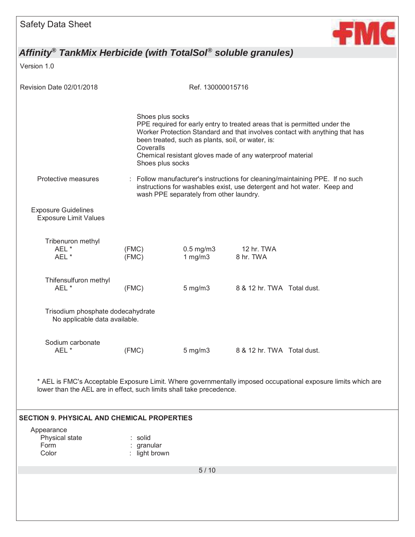

Version 1.0

| Revision Date 02/01/2018                                             |                                                   | Ref. 130000015716                                 |                                                                                                                                                                                                                                                                                                                                                                                   |
|----------------------------------------------------------------------|---------------------------------------------------|---------------------------------------------------|-----------------------------------------------------------------------------------------------------------------------------------------------------------------------------------------------------------------------------------------------------------------------------------------------------------------------------------------------------------------------------------|
| Protective measures                                                  | Shoes plus socks<br>Coveralls<br>Shoes plus socks | been treated, such as plants, soil, or water, is: | PPE required for early entry to treated areas that is permitted under the<br>Worker Protection Standard and that involves contact with anything that has<br>Chemical resistant gloves made of any waterproof material<br>: Follow manufacturer's instructions for cleaning/maintaining PPE. If no such<br>instructions for washables exist, use detergent and hot water. Keep and |
| <b>Exposure Guidelines</b><br><b>Exposure Limit Values</b>           |                                                   | wash PPE separately from other laundry.           |                                                                                                                                                                                                                                                                                                                                                                                   |
| Tribenuron methyl<br>AEL *<br>AEL *                                  | (FMC)<br>(FMC)                                    | $0.5$ mg/m $3$<br>1 mg/m3                         | 12 hr. TWA<br>8 hr. TWA                                                                                                                                                                                                                                                                                                                                                           |
| Thifensulfuron methyl<br>AEL*                                        | (FMC)                                             | $5 \text{ mg/m}$ 3                                | 8 & 12 hr. TWA Total dust.                                                                                                                                                                                                                                                                                                                                                        |
| Trisodium phosphate dodecahydrate<br>No applicable data available.   |                                                   |                                                   |                                                                                                                                                                                                                                                                                                                                                                                   |
| Sodium carbonate<br>AEL*                                             | (FMC)                                             | $5 \text{ mg/m}$ 3                                | 8 & 12 hr. TWA Total dust.                                                                                                                                                                                                                                                                                                                                                        |
| lower than the AEL are in effect, such limits shall take precedence. |                                                   |                                                   | AEL is FMC's Acceptable Exposure Limit. Where governmentally imposed occupational exposure limits which are                                                                                                                                                                                                                                                                       |
| <b>SECTION 9. PHYSICAL AND CHEMICAL PROPERTIES</b>                   |                                                   |                                                   |                                                                                                                                                                                                                                                                                                                                                                                   |
| Appearance<br>Physical state<br>Form<br>Color                        | : solid<br>granular<br>: light brown              |                                                   |                                                                                                                                                                                                                                                                                                                                                                                   |
|                                                                      |                                                   | $5/10$                                            |                                                                                                                                                                                                                                                                                                                                                                                   |
|                                                                      |                                                   |                                                   |                                                                                                                                                                                                                                                                                                                                                                                   |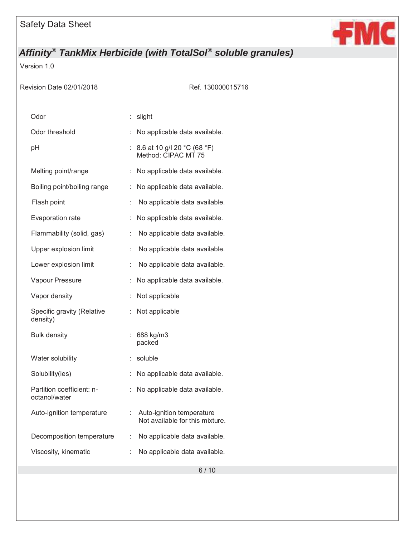

Version 1.0

Revision Date 02/01/2018 Ref. 130000015716

| Odor                                       | t. | slight                                                       |
|--------------------------------------------|----|--------------------------------------------------------------|
| Odor threshold                             |    | No applicable data available.                                |
| рH                                         |    | 8.6 at 10 g/l 20 °C (68 °F)<br>Method: CIPAC MT 75           |
| Melting point/range                        | t. | No applicable data available.                                |
| Boiling point/boiling range                | t  | No applicable data available.                                |
| Flash point                                | t  | No applicable data available.                                |
| Evaporation rate                           | t. | No applicable data available.                                |
| Flammability (solid, gas)                  | t. | No applicable data available.                                |
| Upper explosion limit                      | t  | No applicable data available.                                |
| Lower explosion limit                      | t. | No applicable data available.                                |
| Vapour Pressure                            | t  | No applicable data available.                                |
| Vapor density                              | ÷  | Not applicable                                               |
| Specific gravity (Relative<br>density)     | t. | Not applicable                                               |
| <b>Bulk density</b>                        |    | 688 kg/m3<br>packed                                          |
| Water solubility                           |    | soluble                                                      |
| Solubility(ies)                            | t. | No applicable data available.                                |
| Partition coefficient: n-<br>octanol/water | ÷  | No applicable data available.                                |
| Auto-ignition temperature                  |    | Auto-ignition temperature<br>Not available for this mixture. |
| Decomposition temperature                  | t. | No applicable data available.                                |
| Viscosity, kinematic                       |    | No applicable data available.                                |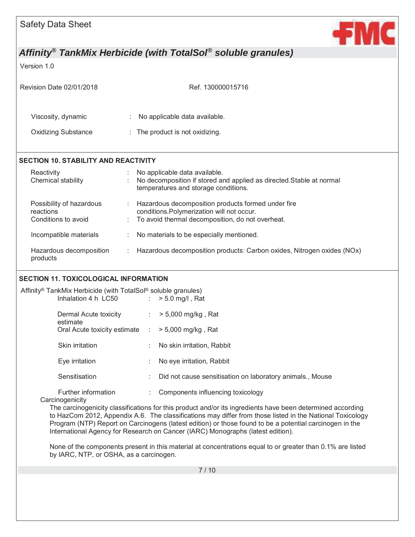

Version 1.0

| Revision Date 02/01/2018                                     | Ref. 130000015716                                                                                                                                                     |  |
|--------------------------------------------------------------|-----------------------------------------------------------------------------------------------------------------------------------------------------------------------|--|
| Viscosity, dynamic                                           | No applicable data available.                                                                                                                                         |  |
| <b>Oxidizing Substance</b>                                   | : The product is not oxidizing.                                                                                                                                       |  |
| <b>SECTION 10. STABILITY AND REACTIVITY</b>                  |                                                                                                                                                                       |  |
| Reactivity<br>Chemical stability                             | No applicable data available.<br>No decomposition if stored and applied as directed. Stable at normal<br>temperatures and storage conditions.                         |  |
| Possibility of hazardous<br>reactions<br>Conditions to avoid | Hazardous decomposition products formed under fire<br>$\mathcal{L}$<br>conditions. Polymerization will not occur.<br>To avoid thermal decomposition, do not overheat. |  |
| Incompatible materials                                       | No materials to be especially mentioned.                                                                                                                              |  |
| Hazardous decomposition<br>products                          | Hazardous decomposition products: Carbon oxides, Nitrogen oxides (NOx)<br>÷                                                                                           |  |
| SECTION 11 TOYICOLOGICAL INFORMATION                         |                                                                                                                                                                       |  |

#### **SECTION 11. TOXICOLOGICAL INFORMATION**

| Affinity® TankMix Herbicide (with TotalSol® soluble granules) |                                                                                                                                                                                                                                                                                                                                                                                                                       |
|---------------------------------------------------------------|-----------------------------------------------------------------------------------------------------------------------------------------------------------------------------------------------------------------------------------------------------------------------------------------------------------------------------------------------------------------------------------------------------------------------|
| Inhalation 4 h $LC50$ : $> 5.0$ mg/l, Rat                     |                                                                                                                                                                                                                                                                                                                                                                                                                       |
| Dermal Acute toxicity<br>estimate                             | $\therefore$ > 5,000 mg/kg, Rat                                                                                                                                                                                                                                                                                                                                                                                       |
| Oral Acute toxicity estimate $\therefore$ > 5,000 mg/kg, Rat  |                                                                                                                                                                                                                                                                                                                                                                                                                       |
| <b>Skin irritation</b>                                        | : No skin irritation, Rabbit                                                                                                                                                                                                                                                                                                                                                                                          |
| Eye irritation                                                | : No eye irritation, Rabbit                                                                                                                                                                                                                                                                                                                                                                                           |
| Sensitisation                                                 | Did not cause sensitisation on laboratory animals., Mouse                                                                                                                                                                                                                                                                                                                                                             |
| Further information<br>Carcinogenicity                        | Components influencing toxicology                                                                                                                                                                                                                                                                                                                                                                                     |
|                                                               | The carcinogenicity classifications for this product and/or its ingredients have been determined according<br>to HazCom 2012, Appendix A.6. The classifications may differ from those listed in the National Toxicology<br>Program (NTP) Report on Carcinogens (latest edition) or those found to be a potential carcinogen in the<br>International Agency for Research on Cancer (IARC) Monographs (latest edition). |
|                                                               | Also a substitute and an expected to the contract of a second distance and the second through $\sim$ 0.40/ and Ratio                                                                                                                                                                                                                                                                                                  |

None of the components present in this material at concentrations equal to or greater than 0.1% are listed by IARC, NTP, or OSHA, as a carcinogen.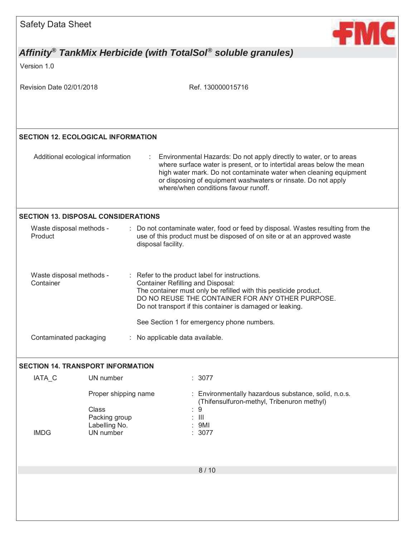| <b>Safety Data Sheet</b>                   |                                                                              | <b>+MC</b>                                                                                                                                                                                                                                                                                                                |
|--------------------------------------------|------------------------------------------------------------------------------|---------------------------------------------------------------------------------------------------------------------------------------------------------------------------------------------------------------------------------------------------------------------------------------------------------------------------|
|                                            |                                                                              | Affinity <sup>®</sup> TankMix Herbicide (with TotalSol <sup>®</sup> soluble granules)                                                                                                                                                                                                                                     |
| Version 1.0                                |                                                                              |                                                                                                                                                                                                                                                                                                                           |
| Revision Date 02/01/2018                   |                                                                              | Ref. 130000015716                                                                                                                                                                                                                                                                                                         |
| <b>SECTION 12. ECOLOGICAL INFORMATION</b>  |                                                                              |                                                                                                                                                                                                                                                                                                                           |
| Additional ecological information          |                                                                              | Environmental Hazards: Do not apply directly to water, or to areas<br>where surface water is present, or to intertidal areas below the mean<br>high water mark. Do not contaminate water when cleaning equipment<br>or disposing of equipment washwaters or rinsate. Do not apply<br>where/when conditions favour runoff. |
| <b>SECTION 13. DISPOSAL CONSIDERATIONS</b> |                                                                              |                                                                                                                                                                                                                                                                                                                           |
| Waste disposal methods -<br>Product        |                                                                              | Do not contaminate water, food or feed by disposal. Wastes resulting from the<br>use of this product must be disposed of on site or at an approved waste<br>disposal facility.                                                                                                                                            |
| Waste disposal methods -<br>Container      |                                                                              | : Refer to the product label for instructions.<br><b>Container Refilling and Disposal:</b><br>The container must only be refilled with this pesticide product.<br>DO NO REUSE THE CONTAINER FOR ANY OTHER PURPOSE.<br>Do not transport if this container is damaged or leaking.                                           |
|                                            |                                                                              | See Section 1 for emergency phone numbers.                                                                                                                                                                                                                                                                                |
| Contaminated packaging                     |                                                                              | No applicable data available.                                                                                                                                                                                                                                                                                             |
| <b>SECTION 14. TRANSPORT INFORMATION</b>   |                                                                              |                                                                                                                                                                                                                                                                                                                           |
| IATA <sub>C</sub>                          | UN number                                                                    | : 3077                                                                                                                                                                                                                                                                                                                    |
| <b>IMDG</b>                                | Proper shipping name<br>Class<br>Packing group<br>Labelling No.<br>UN number | : Environmentally hazardous substance, solid, n.o.s.<br>(Thifensulfuron-methyl, Tribenuron methyl)<br>$\boldsymbol{9}$<br>$\  \cdot \ $<br>9MI<br>3077                                                                                                                                                                    |
|                                            |                                                                              |                                                                                                                                                                                                                                                                                                                           |
|                                            |                                                                              | 8/10                                                                                                                                                                                                                                                                                                                      |
|                                            |                                                                              |                                                                                                                                                                                                                                                                                                                           |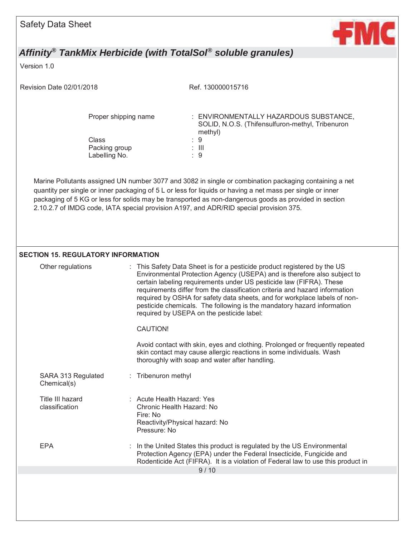

Version 1.0

Revision Date 02/01/2018 Ref. 130000015716

Class : 9 Packing group Labelling No. : 9

Proper shipping name : ENVIRONMENTALLY HAZARDOUS SUBSTANCE, SOLID, N.O.S. (Thifensulfuron-methyl, Tribenuron methyl)

Marine Pollutants assigned UN number 3077 and 3082 in single or combination packaging containing a net quantity per single or inner packaging of 5 L or less for liquids or having a net mass per single or inner packaging of 5 KG or less for solids may be transported as non-dangerous goods as provided in section 2.10.2.7 of IMDG code, IATA special provision A197, and ADR/RID special provision 375.

#### **SECTION 15. REGULATORY INFORMATION**

| Other regulations                  | : This Safety Data Sheet is for a pesticide product registered by the US<br>Environmental Protection Agency (USEPA) and is therefore also subject to<br>certain labeling requirements under US pesticide law (FIFRA). These<br>requirements differ from the classification criteria and hazard information<br>required by OSHA for safety data sheets, and for workplace labels of non-<br>pesticide chemicals. The following is the mandatory hazard information<br>required by USEPA on the pesticide label:<br><b>CAUTION!</b><br>Avoid contact with skin, eyes and clothing. Prolonged or frequently repeated<br>skin contact may cause allergic reactions in some individuals. Wash |
|------------------------------------|------------------------------------------------------------------------------------------------------------------------------------------------------------------------------------------------------------------------------------------------------------------------------------------------------------------------------------------------------------------------------------------------------------------------------------------------------------------------------------------------------------------------------------------------------------------------------------------------------------------------------------------------------------------------------------------|
|                                    | thoroughly with soap and water after handling.                                                                                                                                                                                                                                                                                                                                                                                                                                                                                                                                                                                                                                           |
| SARA 313 Regulated<br>Chemical(s)  | : Tribenuron methyl                                                                                                                                                                                                                                                                                                                                                                                                                                                                                                                                                                                                                                                                      |
| Title III hazard<br>classification | : Acute Health Hazard: Yes<br>Chronic Health Hazard: No<br>Fire: No<br>Reactivity/Physical hazard: No<br>Pressure: No                                                                                                                                                                                                                                                                                                                                                                                                                                                                                                                                                                    |
| <b>EPA</b>                         | : In the United States this product is regulated by the US Environmental<br>Protection Agency (EPA) under the Federal Insecticide, Fungicide and<br>Rodenticide Act (FIFRA). It is a violation of Federal law to use this product in                                                                                                                                                                                                                                                                                                                                                                                                                                                     |
|                                    | 9/10                                                                                                                                                                                                                                                                                                                                                                                                                                                                                                                                                                                                                                                                                     |
|                                    |                                                                                                                                                                                                                                                                                                                                                                                                                                                                                                                                                                                                                                                                                          |